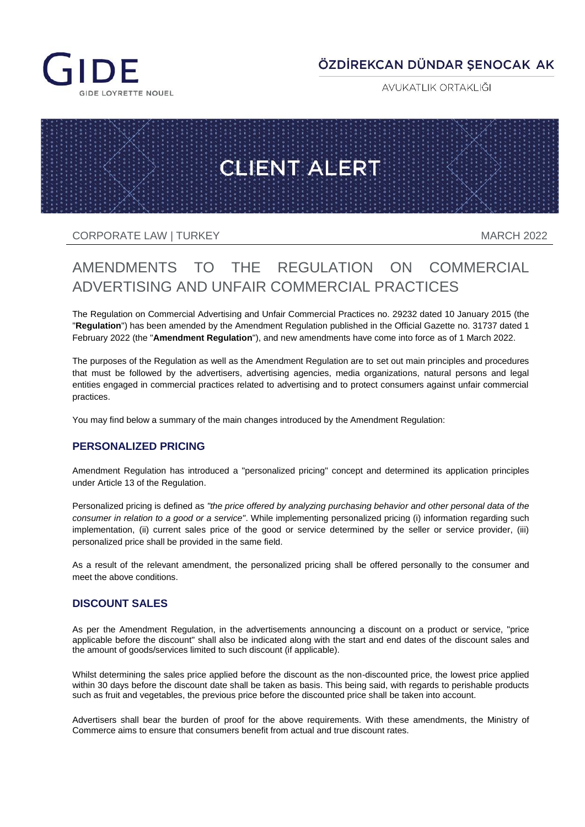

# ÖZDİREKCAN DÜNDAR ŞENOCAK AK

AVUKATLIK ORTAKLIĞI



CORPORATE LAW I TURKEY NARCH 2022

# AMENDMENTS TO THE REGULATION ON COMMERCIAL ADVERTISING AND UNFAIR COMMERCIAL PRACTICES

The Regulation on Commercial Advertising and Unfair Commercial Practices no. 29232 dated 10 January 2015 (the "**Regulation**") has been amended by the Amendment Regulation published in the Official Gazette no. 31737 dated 1 February 2022 (the "**Amendment Regulation**"), and new amendments have come into force as of 1 March 2022.

The purposes of the Regulation as well as the Amendment Regulation are to set out main principles and procedures that must be followed by the advertisers, advertising agencies, media organizations, natural persons and legal entities engaged in commercial practices related to advertising and to protect consumers against unfair commercial practices.

You may find below a summary of the main changes introduced by the Amendment Regulation:

#### **PERSONALIZED PRICING**

Amendment Regulation has introduced a "personalized pricing" concept and determined its application principles under Article 13 of the Regulation.

Personalized pricing is defined as *"the price offered by analyzing purchasing behavior and other personal data of the consumer in relation to a good or a service"*. While implementing personalized pricing (i) information regarding such implementation, (ii) current sales price of the good or service determined by the seller or service provider, (iii) personalized price shall be provided in the same field.

As a result of the relevant amendment, the personalized pricing shall be offered personally to the consumer and meet the above conditions.

#### **DISCOUNT SALES**

As per the Amendment Regulation, in the advertisements announcing a discount on a product or service, "price applicable before the discount" shall also be indicated along with the start and end dates of the discount sales and the amount of goods/services limited to such discount (if applicable).

Whilst determining the sales price applied before the discount as the non-discounted price, the lowest price applied within 30 days before the discount date shall be taken as basis. This being said, with regards to perishable products such as fruit and vegetables, the previous price before the discounted price shall be taken into account.

Advertisers shall bear the burden of proof for the above requirements. With these amendments, the Ministry of Commerce aims to ensure that consumers benefit from actual and true discount rates.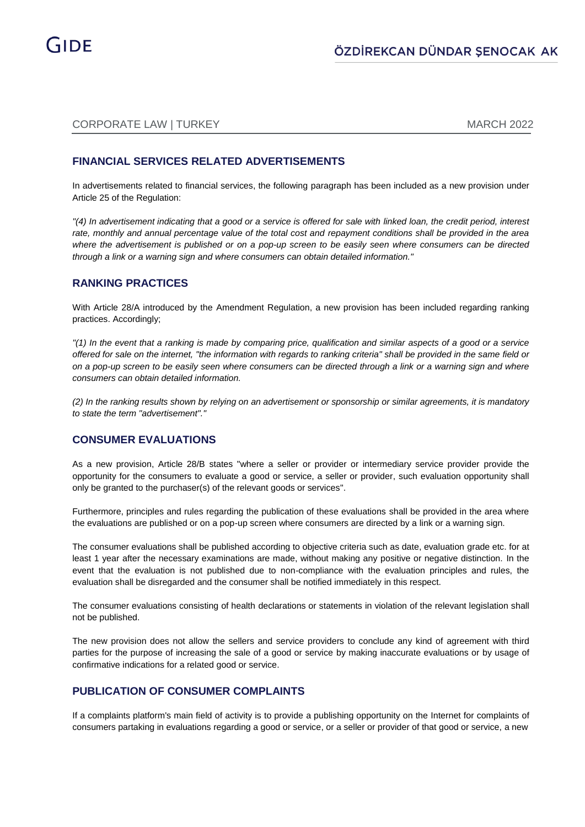### CORPORATE LAW I TURKEY NARCH 2022

### **FINANCIAL SERVICES RELATED ADVERTISEMENTS**

In advertisements related to financial services, the following paragraph has been included as a new provision under Article 25 of the Regulation:

*"(4) In advertisement indicating that a good or a service is offered for sale with linked loan, the credit period, interest rate, monthly and annual percentage value of the total cost and repayment conditions shall be provided in the area where the advertisement is published or on a pop-up screen to be easily seen where consumers can be directed through a link or a warning sign and where consumers can obtain detailed information."*

#### **RANKING PRACTICES**

With Article 28/A introduced by the Amendment Regulation, a new provision has been included regarding ranking practices. Accordingly;

*"(1) In the event that a ranking is made by comparing price, qualification and similar aspects of a good or a service offered for sale on the internet, "the information with regards to ranking criteria" shall be provided in the same field or on a pop-up screen to be easily seen where consumers can be directed through a link or a warning sign and where consumers can obtain detailed information.* 

*(2) In the ranking results shown by relying on an advertisement or sponsorship or similar agreements, it is mandatory to state the term "advertisement"."* 

#### **CONSUMER EVALUATIONS**

As a new provision, Article 28/B states "where a seller or provider or intermediary service provider provide the opportunity for the consumers to evaluate a good or service, a seller or provider, such evaluation opportunity shall only be granted to the purchaser(s) of the relevant goods or services".

Furthermore, principles and rules regarding the publication of these evaluations shall be provided in the area where the evaluations are published or on a pop-up screen where consumers are directed by a link or a warning sign.

The consumer evaluations shall be published according to objective criteria such as date, evaluation grade etc. for at least 1 year after the necessary examinations are made, without making any positive or negative distinction. In the event that the evaluation is not published due to non-compliance with the evaluation principles and rules, the evaluation shall be disregarded and the consumer shall be notified immediately in this respect.

The consumer evaluations consisting of health declarations or statements in violation of the relevant legislation shall not be published.

The new provision does not allow the sellers and service providers to conclude any kind of agreement with third parties for the purpose of increasing the sale of a good or service by making inaccurate evaluations or by usage of confirmative indications for a related good or service.

#### **PUBLICATION OF CONSUMER COMPLAINTS**

If a complaints platform's main field of activity is to provide a publishing opportunity on the Internet for complaints of consumers partaking in evaluations regarding a good or service, or a seller or provider of that good or service, a new